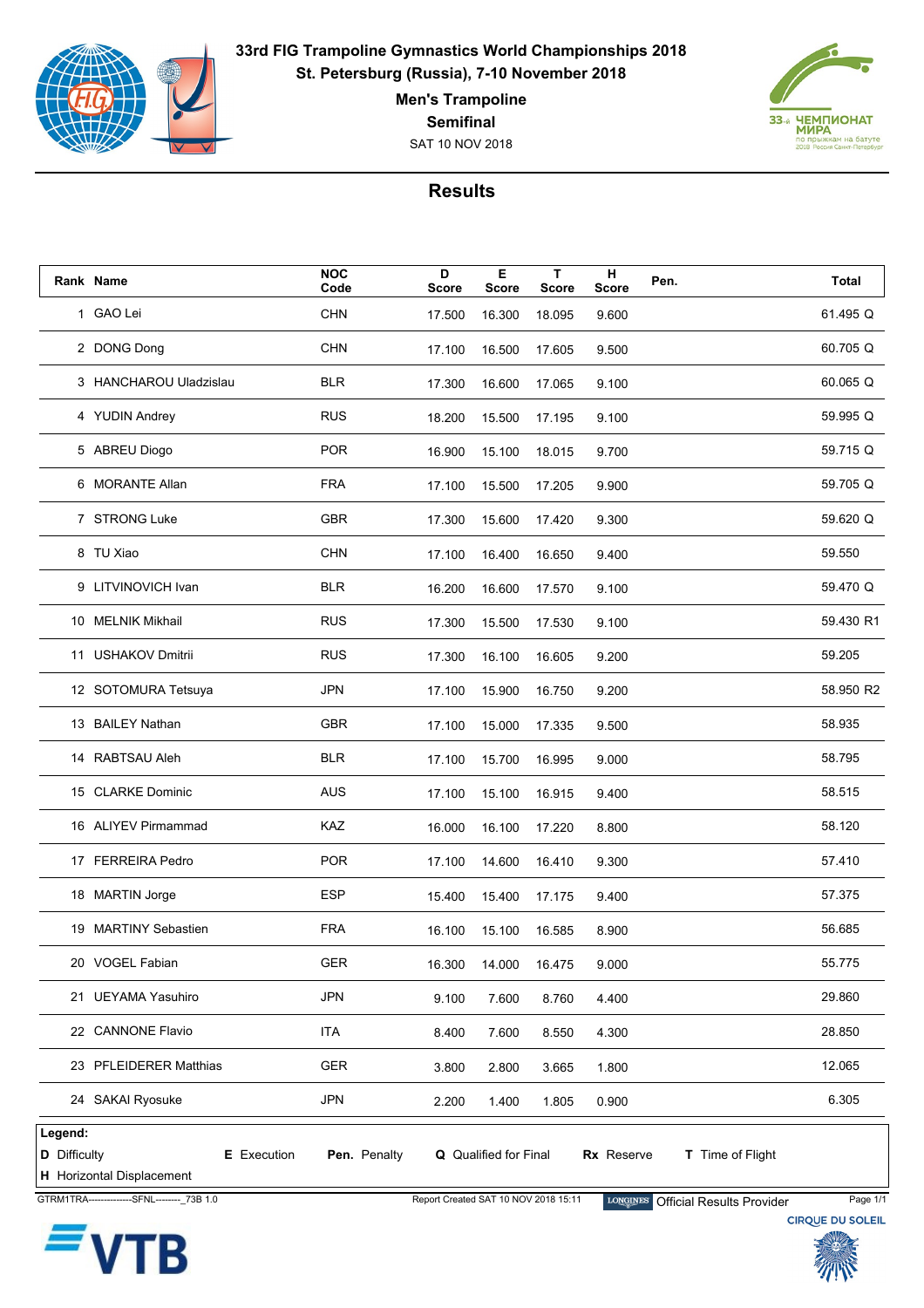

**33rd FIG Trampoline Gymnastics World Championships 2018 St. Petersburg (Russia), 7-10 November 2018**

**Men's Trampoline**

**Semifinal**

SAT 10 NOV 2018



## **Results**

|                     | Rank Name                                   | <b>NOC</b><br>Code | D<br><b>Score</b>                    | Е<br><b>Score</b>            | $\mathbf T$<br><b>Score</b> | н<br><b>Score</b> | Pen.                             | Total                   |
|---------------------|---------------------------------------------|--------------------|--------------------------------------|------------------------------|-----------------------------|-------------------|----------------------------------|-------------------------|
|                     | 1 GAO Lei                                   | <b>CHN</b>         | 17.500                               | 16.300                       | 18.095                      | 9.600             |                                  | 61.495 Q                |
|                     | 2 DONG Dong                                 | <b>CHN</b>         | 17.100                               | 16.500                       | 17.605                      | 9.500             |                                  | 60.705 Q                |
|                     | 3 HANCHAROU Uladzislau                      | <b>BLR</b>         | 17.300                               | 16.600                       | 17.065                      | 9.100             |                                  | 60.065 Q                |
|                     | 4 YUDIN Andrey                              | <b>RUS</b>         | 18.200                               | 15.500                       | 17.195                      | 9.100             |                                  | 59.995 Q                |
|                     | 5 ABREU Diogo                               | <b>POR</b>         | 16.900                               | 15.100                       | 18.015                      | 9.700             |                                  | 59.715 Q                |
|                     | 6 MORANTE Allan                             | <b>FRA</b>         | 17.100                               | 15.500                       | 17.205                      | 9.900             |                                  | 59.705 Q                |
|                     | 7 STRONG Luke                               | <b>GBR</b>         | 17.300                               | 15.600                       | 17.420                      | 9.300             |                                  | 59.620 Q                |
|                     | 8 TU Xiao                                   | <b>CHN</b>         | 17.100                               | 16.400                       | 16.650                      | 9.400             |                                  | 59.550                  |
|                     | 9 LITVINOVICH Ivan                          | <b>BLR</b>         | 16.200                               | 16.600                       | 17.570                      | 9.100             |                                  | 59.470 Q                |
|                     | 10 MELNIK Mikhail                           | <b>RUS</b>         | 17.300                               | 15.500                       | 17.530                      | 9.100             |                                  | 59.430 R1               |
|                     | 11 USHAKOV Dmitrii                          | <b>RUS</b>         | 17.300                               | 16.100                       | 16.605                      | 9.200             |                                  | 59.205                  |
|                     | 12 SOTOMURA Tetsuya                         | <b>JPN</b>         | 17.100                               | 15.900                       | 16.750                      | 9.200             |                                  | 58.950 R2               |
|                     | 13 BAILEY Nathan                            | <b>GBR</b>         | 17.100                               | 15.000                       | 17.335                      | 9.500             |                                  | 58.935                  |
|                     | 14 RABTSAU Aleh                             | <b>BLR</b>         | 17.100                               | 15.700                       | 16.995                      | 9.000             |                                  | 58.795                  |
|                     | 15 CLARKE Dominic                           | <b>AUS</b>         | 17.100                               | 15.100                       | 16.915                      | 9.400             |                                  | 58.515                  |
|                     | 16 ALIYEV Pirmammad                         | KAZ                | 16.000                               | 16.100                       | 17.220                      | 8.800             |                                  | 58.120                  |
|                     | 17 FERREIRA Pedro                           | <b>POR</b>         | 17.100                               | 14.600                       | 16.410                      | 9.300             |                                  | 57.410                  |
|                     | 18 MARTIN Jorge                             | <b>ESP</b>         | 15.400                               | 15.400                       | 17.175                      | 9.400             |                                  | 57.375                  |
|                     | 19 MARTINY Sebastien                        | <b>FRA</b>         | 16.100                               | 15.100                       | 16.585                      | 8.900             |                                  | 56.685                  |
|                     | 20 VOGEL Fabian                             | GER                | 16.300                               | 14.000                       | 16.475                      | 9.000             |                                  | 55.775                  |
|                     | 21 UEYAMA Yasuhiro                          | <b>JPN</b>         | 9.100                                | 7.600                        | 8.760                       | 4.400             |                                  | 29.860                  |
|                     | 22 CANNONE Flavio                           | <b>ITA</b>         | 8.400                                | 7.600                        | 8.550                       | 4.300             |                                  | 28.850                  |
|                     | 23 PFLEIDERER Matthias                      | <b>GER</b>         | 3.800                                | 2.800                        | 3.665                       | 1.800             |                                  | 12.065                  |
|                     | 24 SAKAI Ryosuke                            | <b>JPN</b>         | 2.200                                | 1.400                        | 1.805                       | 0.900             |                                  | 6.305                   |
| Legend:             |                                             |                    |                                      |                              |                             |                   |                                  |                         |
| <b>D</b> Difficulty | E Execution<br>H Horizontal Displacement    | Pen. Penalty       |                                      | <b>Q</b> Qualified for Final |                             | Rx Reserve        | T Time of Flight                 |                         |
|                     | GTRM1TRA---------------SFNL-------- 73B 1.0 |                    | Report Created SAT 10 NOV 2018 15:11 |                              |                             | <b>LONGINES</b>   | <b>Official Results Provider</b> | Page 1/1                |
|                     |                                             |                    |                                      |                              |                             |                   |                                  | <b>CIRQUE DU SOLEIL</b> |